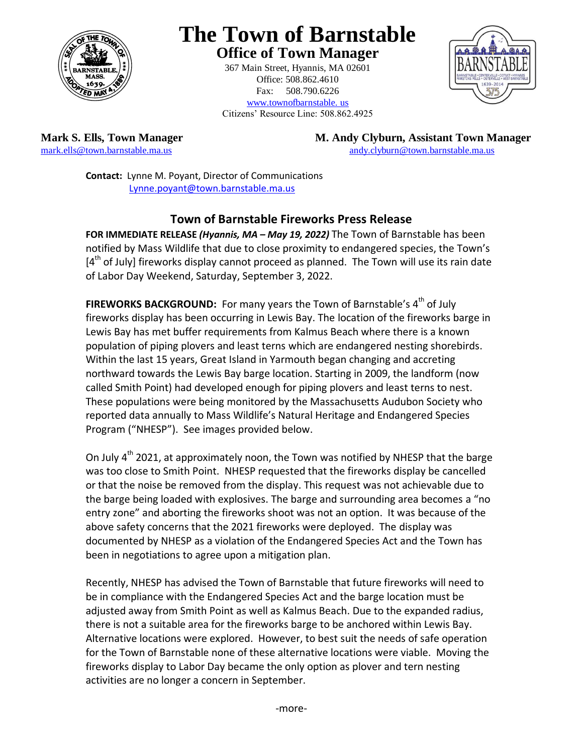

# **The Town of Barnstable Office of Town Manager**

367 Main Street, Hyannis, MA 02601 Office: 508.862.4610 Fax: 508.790.6226 www.townofbarnstable. us Citizens' Resource Line: 508.862.4925



**Mark S. Ells, Town Manager M. Andy Clyburn, Assistant Town Manager** mark.ells@town.barnstable.ma.us **M. Andy Clyburn** @town.barnstable.ma.us andy.clyburn@town.barnstable.ma.us

**Contact:** Lynne M. Poyant, Director of Communications [Lynne.poyant@town.barnstable.ma.us](mailto:Lynne.poyant@town.barnstable.ma.us)

#### **Town of Barnstable Fireworks Press Release**

**FOR IMMEDIATE RELEASE** *(Hyannis, MA – May 19, 2022)* The Town of Barnstable has been notified by Mass Wildlife that due to close proximity to endangered species, the Town's [4<sup>th</sup> of July] fireworks display cannot proceed as planned. The Town will use its rain date of Labor Day Weekend, Saturday, September 3, 2022.

**FIREWORKS BACKGROUND:** For many years the Town of Barnstable's 4<sup>th</sup> of July fireworks display has been occurring in Lewis Bay. The location of the fireworks barge in Lewis Bay has met buffer requirements from Kalmus Beach where there is a known population of piping plovers and least terns which are endangered nesting shorebirds. Within the last 15 years, Great Island in Yarmouth began changing and accreting northward towards the Lewis Bay barge location. Starting in 2009, the landform (now called Smith Point) had developed enough for piping plovers and least terns to nest. These populations were being monitored by the Massachusetts Audubon Society who reported data annually to Mass Wildlife's Natural Heritage and Endangered Species Program ("NHESP"). See images provided below.

On July  $4<sup>th</sup>$  2021, at approximately noon, the Town was notified by NHESP that the barge was too close to Smith Point. NHESP requested that the fireworks display be cancelled or that the noise be removed from the display. This request was not achievable due to the barge being loaded with explosives. The barge and surrounding area becomes a "no entry zone" and aborting the fireworks shoot was not an option. It was because of the above safety concerns that the 2021 fireworks were deployed. The display was documented by NHESP as a violation of the Endangered Species Act and the Town has been in negotiations to agree upon a mitigation plan.

Recently, NHESP has advised the Town of Barnstable that future fireworks will need to be in compliance with the Endangered Species Act and the barge location must be adjusted away from Smith Point as well as Kalmus Beach. Due to the expanded radius, there is not a suitable area for the fireworks barge to be anchored within Lewis Bay. Alternative locations were explored. However, to best suit the needs of safe operation for the Town of Barnstable none of these alternative locations were viable. Moving the fireworks display to Labor Day became the only option as plover and tern nesting activities are no longer a concern in September.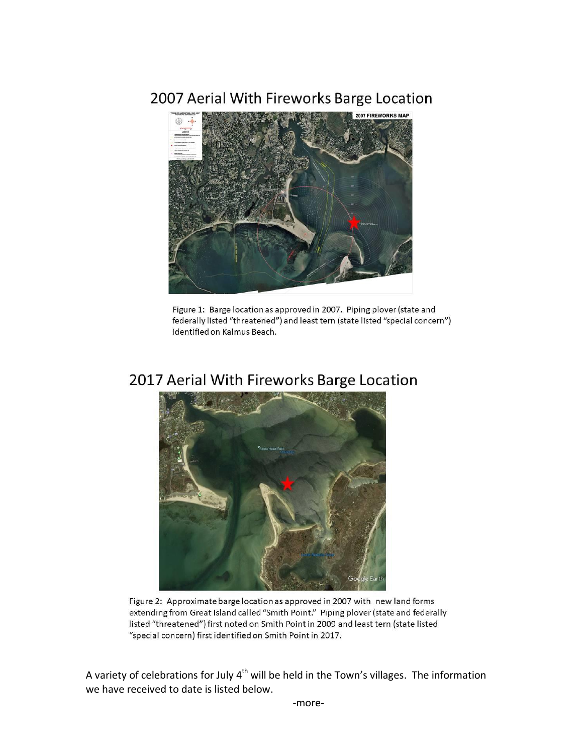# 2007 Aerial With Fireworks Barge Location



Figure 1: Barge location as approved in 2007. Piping plover (state and federally listed "threatened") and least tern (state listed "special concern") identified on Kalmus Beach.

#### 2017 Aerial With Fireworks Barge Location



Figure 2: Approximate barge location as approved in 2007 with new land forms extending from Great Island called "Smith Point." Piping plover (state and federally listed "threatened") first noted on Smith Point in 2009 and least tern (state listed "special concern) first identified on Smith Point in 2017.

A variety of celebrations for July  $4<sup>th</sup>$  will be held in the Town's villages. The information we have received to date is listed below.